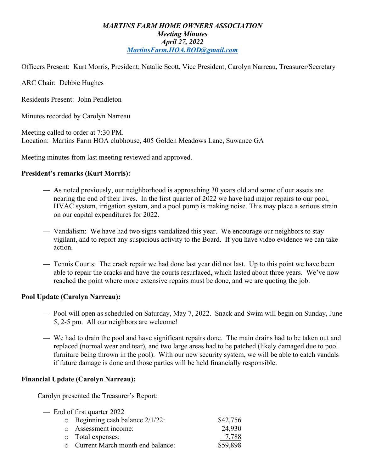## *MARTINS FARM HOME OWNERS ASSOCIATION Meeting Minutes April 27, 2022 MartinsFarm.HOA.BOD@gmail.com*

Officers Present: Kurt Morris, President; Natalie Scott, Vice President, Carolyn Narreau, Treasurer/Secretary

ARC Chair: Debbie Hughes

Residents Present: John Pendleton

Minutes recorded by Carolyn Narreau

Meeting called to order at 7:30 PM. Location: Martins Farm HOA clubhouse, 405 Golden Meadows Lane, Suwanee GA

Meeting minutes from last meeting reviewed and approved.

### **President's remarks (Kurt Morris):**

- As noted previously, our neighborhood is approaching 30 years old and some of our assets are nearing the end of their lives. In the first quarter of 2022 we have had major repairs to our pool, HVAC system, irrigation system, and a pool pump is making noise. This may place a serious strain on our capital expenditures for 2022.
- Vandalism: We have had two signs vandalized this year. We encourage our neighbors to stay vigilant, and to report any suspicious activity to the Board. If you have video evidence we can take action.
- Tennis Courts: The crack repair we had done last year did not last. Up to this point we have been able to repair the cracks and have the courts resurfaced, which lasted about three years. We've now reached the point where more extensive repairs must be done, and we are quoting the job.

#### **Pool Update (Carolyn Narreau):**

- Pool will open as scheduled on Saturday, May 7, 2022. Snack and Swim will begin on Sunday, June 5, 2-5 pm. All our neighbors are welcome!
- We had to drain the pool and have significant repairs done. The main drains had to be taken out and replaced (normal wear and tear), and two large areas had to be patched (likely damaged due to pool furniture being thrown in the pool). With our new security system, we will be able to catch vandals if future damage is done and those parties will be held financially responsible.

## **Financial Update (Carolyn Narreau):**

Carolyn presented the Treasurer's Report:

— End of first quarter 2022  $\circ$  Beginning cash balance  $2/1/22$ : \$42,756 o Assessment income: 24,930<br>
o Total expenses: 25,7788 o Total expenses: o Current March month end balance: \$59,898